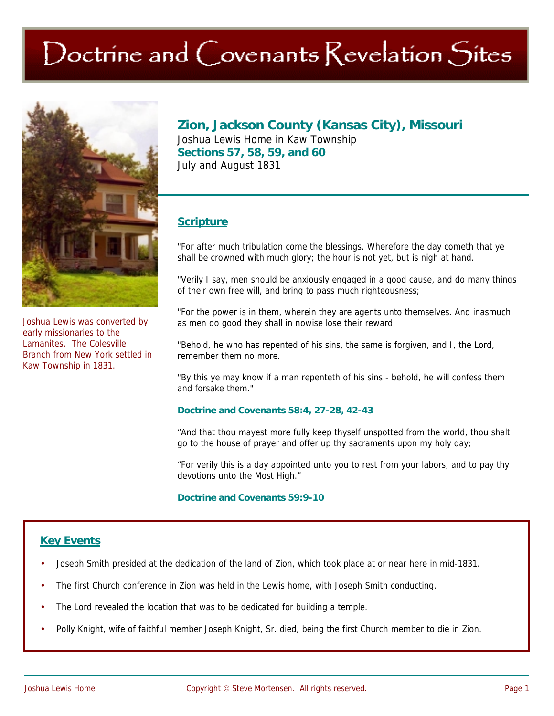# Doctrine and Covenants Revelation Sites



Joshua Lewis was converted by early missionaries to the Lamanites. The Colesville Branch from New York settled in Kaw Township in 1831.

## **Zion, Jackson County (Kansas City), Missouri**  Joshua Lewis Home in Kaw Township **Sections 57, 58, 59, and 60**  July and August 1831

## **Scripture**

"For after much tribulation come the blessings. Wherefore the day cometh that ye shall be crowned with much glory; the hour is not yet, but is nigh at hand.

"Verily I say, men should be anxiously engaged in a good cause, and do many things of their own free will, and bring to pass much righteousness;

"For the power is in them, wherein they are agents unto themselves. And inasmuch as men do good they shall in nowise lose their reward.

"Behold, he who has repented of his sins, the same is forgiven, and I, the Lord, remember them no more.

"By this ye may know if a man repenteth of his sins - behold, he will confess them and forsake them."

#### **Doctrine and Covenants 58:4, 27-28, 42-43**

"And that thou mayest more fully keep thyself unspotted from the world, thou shalt go to the house of prayer and offer up thy sacraments upon my holy day;

"For verily this is a day appointed unto you to rest from your labors, and to pay thy devotions unto the Most High."

#### **Doctrine and Covenants 59:9-10**

## **Key Events**

- Joseph Smith presided at the dedication of the land of Zion, which took place at or near here in mid-1831.
- The first Church conference in Zion was held in the Lewis home, with Joseph Smith conducting.
- The Lord revealed the location that was to be dedicated for building a temple.
- Polly Knight, wife of faithful member Joseph Knight, Sr. died, being the first Church member to die in Zion.